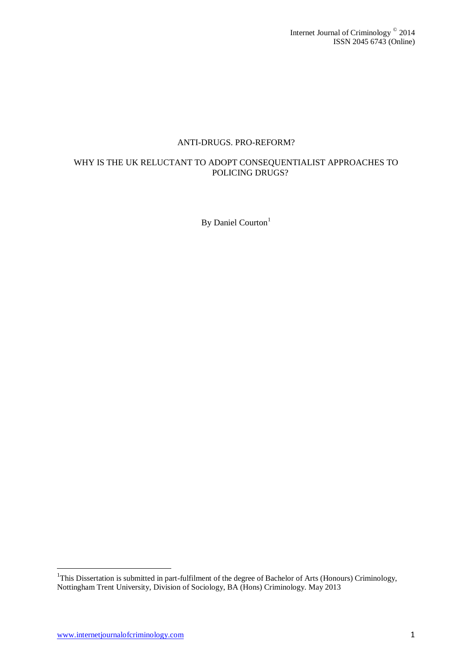## ANTI-DRUGS. PRO-REFORM?

## WHY IS THE UK RELUCTANT TO ADOPT CONSEQUENTIALIST APPROACHES TO POLICING DRUGS?

By Daniel Courton<sup>1</sup>

1

<sup>&</sup>lt;sup>1</sup>This Dissertation is submitted in part-fulfilment of the degree of Bachelor of Arts (Honours) Criminology, Nottingham Trent University, Division of Sociology, BA (Hons) Criminology. May 2013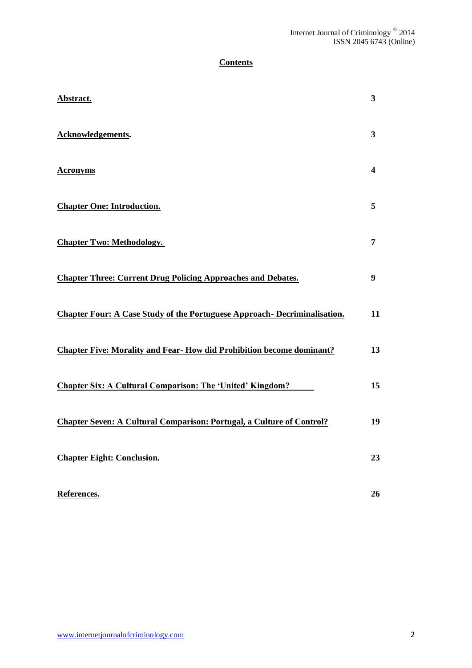# **Contents**

| Abstract.                                                                        | $\overline{\mathbf{3}}$ |
|----------------------------------------------------------------------------------|-------------------------|
| Acknowledgements.                                                                | $\overline{\mathbf{3}}$ |
| <b>Acronyms</b>                                                                  | 4                       |
| <b>Chapter One: Introduction.</b>                                                | 5                       |
| <b>Chapter Two: Methodology.</b>                                                 | $\overline{7}$          |
| <b>Chapter Three: Current Drug Policing Approaches and Debates.</b>              | 9                       |
| <b>Chapter Four: A Case Study of the Portuguese Approach- Decriminalisation.</b> | 11                      |
| <b>Chapter Five: Morality and Fear-How did Prohibition become dominant?</b>      | 13                      |
| <b>Chapter Six: A Cultural Comparison: The 'United' Kingdom?</b>                 | 15                      |
| <b>Chapter Seven: A Cultural Comparison: Portugal, a Culture of Control?</b>     | 19                      |
| <b>Chapter Eight: Conclusion.</b>                                                | 23                      |
| References.                                                                      | 26                      |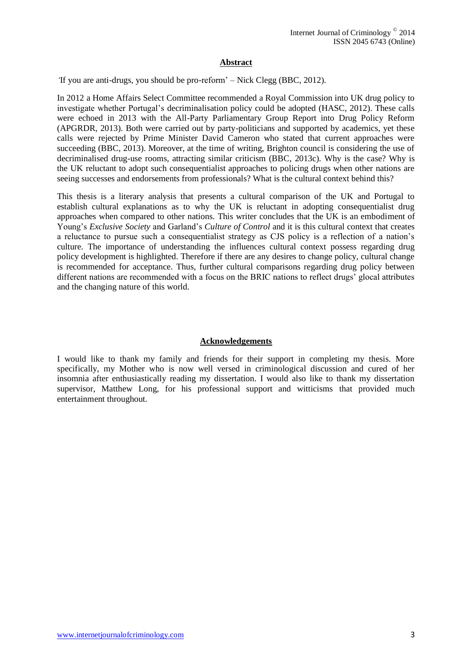#### **Abstract**

*'*If you are anti-drugs, you should be pro-reform' – Nick Clegg (BBC, 2012).

In 2012 a Home Affairs Select Committee recommended a Royal Commission into UK drug policy to investigate whether Portugal's decriminalisation policy could be adopted (HASC, 2012). These calls were echoed in 2013 with the All-Party Parliamentary Group Report into Drug Policy Reform (APGRDR, 2013). Both were carried out by party-politicians and supported by academics, yet these calls were rejected by Prime Minister David Cameron who stated that current approaches were succeeding (BBC, 2013). Moreover, at the time of writing, Brighton council is considering the use of decriminalised drug-use rooms, attracting similar criticism (BBC, 2013c). Why is the case? Why is the UK reluctant to adopt such consequentialist approaches to policing drugs when other nations are seeing successes and endorsements from professionals? What is the cultural context behind this?

This thesis is a literary analysis that presents a cultural comparison of the UK and Portugal to establish cultural explanations as to why the UK is reluctant in adopting consequentialist drug approaches when compared to other nations. This writer concludes that the UK is an embodiment of Young's *Exclusive Society* and Garland's *Culture of Control* and it is this cultural context that creates a reluctance to pursue such a consequentialist strategy as CJS policy is a reflection of a nation's culture. The importance of understanding the influences cultural context possess regarding drug policy development is highlighted. Therefore if there are any desires to change policy, cultural change is recommended for acceptance. Thus, further cultural comparisons regarding drug policy between different nations are recommended with a focus on the BRIC nations to reflect drugs' glocal attributes and the changing nature of this world.

### **Acknowledgements**

I would like to thank my family and friends for their support in completing my thesis. More specifically, my Mother who is now well versed in criminological discussion and cured of her insomnia after enthusiastically reading my dissertation. I would also like to thank my dissertation supervisor, Matthew Long, for his professional support and witticisms that provided much entertainment throughout.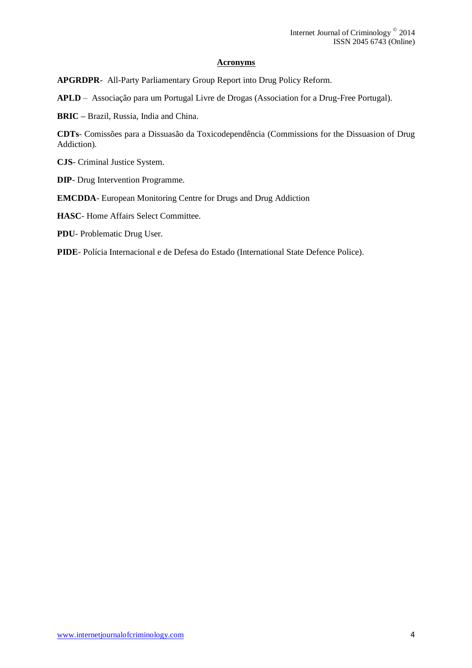#### **Acronyms**

**APGRDPR**- All-Party Parliamentary Group Report into Drug Policy Reform.

**APLD** – Associação para um Portugal Livre de Drogas (Association for a Drug-Free Portugal).

**BRIC –** Brazil, Russia, India and China.

**CDTs**- Comissões para a Dissuasão da Toxicodependência (Commissions for the Dissuasion of Drug Addiction).

**CJS**- Criminal Justice System.

**DIP**- Drug Intervention Programme.

**EMCDDA**- European Monitoring Centre for Drugs and Drug Addiction

**HASC**- Home Affairs Select Committee.

**PDU**- Problematic Drug User.

**PIDE**- Polícia Internacional e de Defesa do Estado (International State Defence Police).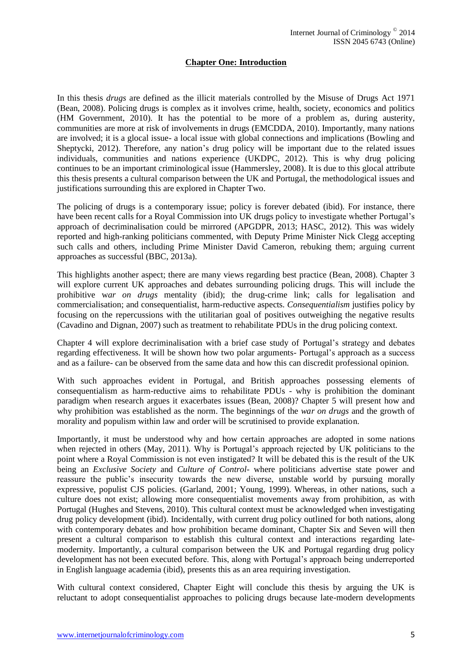## **Chapter One: Introduction**

In this thesis *drugs* are defined as the illicit materials controlled by the Misuse of Drugs Act 1971 (Bean, 2008). Policing drugs is complex as it involves crime, health, society, economics and politics (HM Government, 2010). It has the potential to be more of a problem as, during austerity, communities are more at risk of involvements in drugs (EMCDDA, 2010). Importantly, many nations are involved; it is a glocal issue- a local issue with global connections and implications (Bowling and Sheptycki, 2012). Therefore, any nation's drug policy will be important due to the related issues individuals, communities and nations experience (UKDPC, 2012). This is why drug policing continues to be an important criminological issue (Hammersley, 2008). It is due to this glocal attribute this thesis presents a cultural comparison between the UK and Portugal, the methodological issues and justifications surrounding this are explored in Chapter Two.

The policing of drugs is a contemporary issue; policy is forever debated (ibid). For instance, there have been recent calls for a Royal Commission into UK drugs policy to investigate whether Portugal's approach of decriminalisation could be mirrored (APGDPR, 2013; HASC, 2012). This was widely reported and high-ranking politicians commented, with Deputy Prime Minister Nick Clegg accepting such calls and others, including Prime Minister David Cameron, rebuking them; arguing current approaches as successful (BBC, 2013a).

This highlights another aspect; there are many views regarding best practice (Bean, 2008). Chapter 3 will explore current UK approaches and debates surrounding policing drugs. This will include the prohibitive w*ar on drugs* mentality (ibid); the drug-crime link; calls for legalisation and commercialisation; and consequentialist, harm-reductive aspects. *Consequentialism* justifies policy by focusing on the repercussions with the utilitarian goal of positives outweighing the negative results (Cavadino and Dignan, 2007) such as treatment to rehabilitate PDUs in the drug policing context.

Chapter 4 will explore decriminalisation with a brief case study of Portugal's strategy and debates regarding effectiveness. It will be shown how two polar arguments- Portugal's approach as a success and as a failure- can be observed from the same data and how this can discredit professional opinion.

With such approaches evident in Portugal, and British approaches possessing elements of consequentialism as harm-reductive aims to rehabilitate PDUs - why is prohibition the dominant paradigm when research argues it exacerbates issues (Bean, 2008)? Chapter 5 will present how and why prohibition was established as the norm. The beginnings of the *war on drugs* and the growth of morality and populism within law and order will be scrutinised to provide explanation.

Importantly, it must be understood why and how certain approaches are adopted in some nations when rejected in others (May, 2011). Why is Portugal's approach rejected by UK politicians to the point where a Royal Commission is not even instigated? It will be debated this is the result of the UK being an *Exclusive Society* and *Culture of Control-* where politicians advertise state power and reassure the public's insecurity towards the new diverse, unstable world by pursuing morally expressive, populist CJS policies. (Garland, 2001; Young, 1999). Whereas, in other nations, such a culture does not exist; allowing more consequentialist movements away from prohibition, as with Portugal (Hughes and Stevens, 2010). This cultural context must be acknowledged when investigating drug policy development (ibid). Incidentally, with current drug policy outlined for both nations, along with contemporary debates and how prohibition became dominant, Chapter Six and Seven will then present a cultural comparison to establish this cultural context and interactions regarding latemodernity. Importantly, a cultural comparison between the UK and Portugal regarding drug policy development has not been executed before. This, along with Portugal's approach being underreported in English language academia (ibid), presents this as an area requiring investigation.

With cultural context considered, Chapter Eight will conclude this thesis by arguing the UK is reluctant to adopt consequentialist approaches to policing drugs because late-modern developments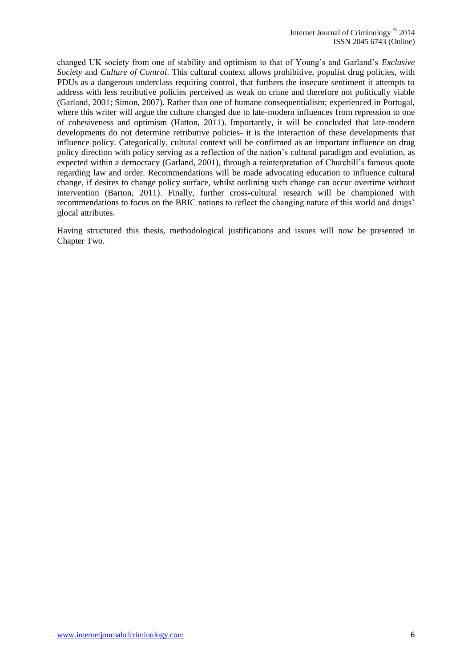changed UK society from one of stability and optimism to that of Young's and Garland's *Exclusive Society* and *Culture of Control*. This cultural context allows prohibitive, populist drug policies, with PDUs as a dangerous underclass requiring control, that furthers the insecure sentiment it attempts to address with less retributive policies perceived as weak on crime and therefore not politically viable (Garland, 2001; Simon, 2007). Rather than one of humane consequentialism; experienced in Portugal, where this writer will argue the culture changed due to late-modern influences from repression to one of cohesiveness and optimism (Hatton, 2011). Importantly, it will be concluded that late-modern developments do not determine retributive policies- it is the interaction of these developments that influence policy. Categorically, cultural context will be confirmed as an important influence on drug policy direction with policy serving as a reflection of the nation's cultural paradigm and evolution, as expected within a democracy (Garland, 2001), through a reinterpretation of Churchill's famous quote regarding law and order. Recommendations will be made advocating education to influence cultural change, if desires to change policy surface, whilst outlining such change can occur overtime without intervention (Barton, 2011). Finally, further cross-cultural research will be championed with recommendations to focus on the BRIC nations to reflect the changing nature of this world and drugs' glocal attributes.

Having structured this thesis, methodological justifications and issues will now be presented in Chapter Two.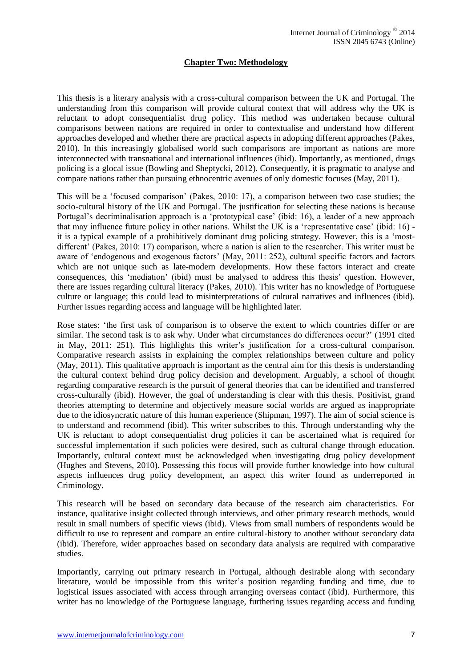## **Chapter Two: Methodology**

This thesis is a literary analysis with a cross-cultural comparison between the UK and Portugal. The understanding from this comparison will provide cultural context that will address why the UK is reluctant to adopt consequentialist drug policy. This method was undertaken because cultural comparisons between nations are required in order to contextualise and understand how different approaches developed and whether there are practical aspects in adopting different approaches (Pakes, 2010). In this increasingly globalised world such comparisons are important as nations are more interconnected with transnational and international influences (ibid). Importantly, as mentioned, drugs policing is a glocal issue (Bowling and Sheptycki, 2012). Consequently, it is pragmatic to analyse and compare nations rather than pursuing ethnocentric avenues of only domestic focuses (May, 2011).

This will be a 'focused comparison' (Pakes, 2010: 17), a comparison between two case studies; the socio-cultural history of the UK and Portugal. The justification for selecting these nations is because Portugal's decriminalisation approach is a 'prototypical case' (ibid: 16), a leader of a new approach that may influence future policy in other nations. Whilst the UK is a 'representative case' (ibid: 16) it is a typical example of a prohibitively dominant drug policing strategy. However, this is a 'mostdifferent' (Pakes, 2010: 17) comparison, where a nation is alien to the researcher. This writer must be aware of 'endogenous and exogenous factors' (May, 2011: 252), cultural specific factors and factors which are not unique such as late-modern developments. How these factors interact and create consequences, this 'mediation' (ibid) must be analysed to address this thesis' question. However, there are issues regarding cultural literacy (Pakes, 2010). This writer has no knowledge of Portuguese culture or language; this could lead to misinterpretations of cultural narratives and influences (ibid). Further issues regarding access and language will be highlighted later.

Rose states: 'the first task of comparison is to observe the extent to which countries differ or are similar. The second task is to ask why. Under what circumstances do differences occur?' (1991 cited in May, 2011: 251). This highlights this writer's justification for a cross-cultural comparison. Comparative research assists in explaining the complex relationships between culture and policy (May, 2011). This qualitative approach is important as the central aim for this thesis is understanding the cultural context behind drug policy decision and development. Arguably, a school of thought regarding comparative research is the pursuit of general theories that can be identified and transferred cross-culturally (ibid). However, the goal of understanding is clear with this thesis. Positivist, grand theories attempting to determine and objectively measure social worlds are argued as inappropriate due to the idiosyncratic nature of this human experience (Shipman, 1997). The aim of social science is to understand and recommend (ibid). This writer subscribes to this. Through understanding why the UK is reluctant to adopt consequentialist drug policies it can be ascertained what is required for successful implementation if such policies were desired, such as cultural change through education. Importantly, cultural context must be acknowledged when investigating drug policy development (Hughes and Stevens, 2010). Possessing this focus will provide further knowledge into how cultural aspects influences drug policy development, an aspect this writer found as underreported in Criminology.

This research will be based on secondary data because of the research aim characteristics. For instance, qualitative insight collected through interviews, and other primary research methods, would result in small numbers of specific views (ibid). Views from small numbers of respondents would be difficult to use to represent and compare an entire cultural-history to another without secondary data (ibid). Therefore, wider approaches based on secondary data analysis are required with comparative studies.

Importantly, carrying out primary research in Portugal, although desirable along with secondary literature, would be impossible from this writer's position regarding funding and time, due to logistical issues associated with access through arranging overseas contact (ibid). Furthermore, this writer has no knowledge of the Portuguese language, furthering issues regarding access and funding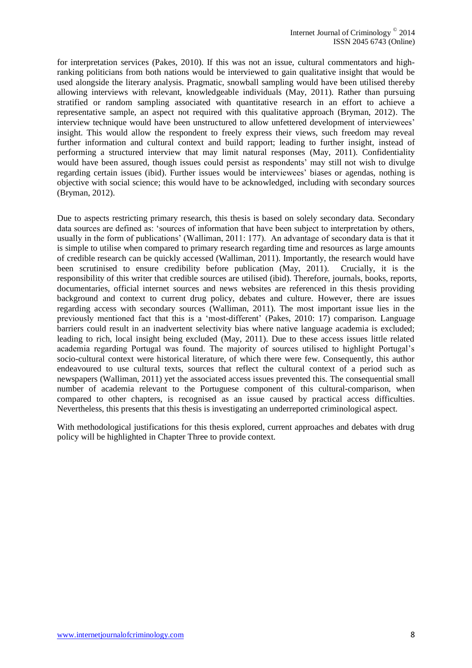for interpretation services (Pakes, 2010). If this was not an issue, cultural commentators and highranking politicians from both nations would be interviewed to gain qualitative insight that would be used alongside the literary analysis. Pragmatic, snowball sampling would have been utilised thereby allowing interviews with relevant, knowledgeable individuals (May, 2011). Rather than pursuing stratified or random sampling associated with quantitative research in an effort to achieve a representative sample, an aspect not required with this qualitative approach (Bryman, 2012). The interview technique would have been unstructured to allow unfettered development of interviewees' insight. This would allow the respondent to freely express their views, such freedom may reveal further information and cultural context and build rapport; leading to further insight, instead of performing a structured interview that may limit natural responses (May, 2011). Confidentiality would have been assured, though issues could persist as respondents' may still not wish to divulge regarding certain issues (ibid). Further issues would be interviewees' biases or agendas, nothing is objective with social science; this would have to be acknowledged, including with secondary sources (Bryman, 2012).

Due to aspects restricting primary research, this thesis is based on solely secondary data. Secondary data sources are defined as: 'sources of information that have been subject to interpretation by others, usually in the form of publications' (Walliman, 2011: 177). An advantage of secondary data is that it is simple to utilise when compared to primary research regarding time and resources as large amounts of credible research can be quickly accessed (Walliman, 2011). Importantly, the research would have been scrutinised to ensure credibility before publication (May, 2011). Crucially, it is the responsibility of this writer that credible sources are utilised (ibid). Therefore, journals, books, reports, documentaries, official internet sources and news websites are referenced in this thesis providing background and context to current drug policy, debates and culture. However, there are issues regarding access with secondary sources (Walliman, 2011). The most important issue lies in the previously mentioned fact that this is a 'most-different' (Pakes, 2010: 17) comparison. Language barriers could result in an inadvertent selectivity bias where native language academia is excluded; leading to rich, local insight being excluded (May, 2011). Due to these access issues little related academia regarding Portugal was found. The majority of sources utilised to highlight Portugal's socio-cultural context were historical literature, of which there were few. Consequently, this author endeavoured to use cultural texts, sources that reflect the cultural context of a period such as newspapers (Walliman, 2011) yet the associated access issues prevented this. The consequential small number of academia relevant to the Portuguese component of this cultural-comparison, when compared to other chapters, is recognised as an issue caused by practical access difficulties. Nevertheless, this presents that this thesis is investigating an underreported criminological aspect.

With methodological justifications for this thesis explored, current approaches and debates with drug policy will be highlighted in Chapter Three to provide context.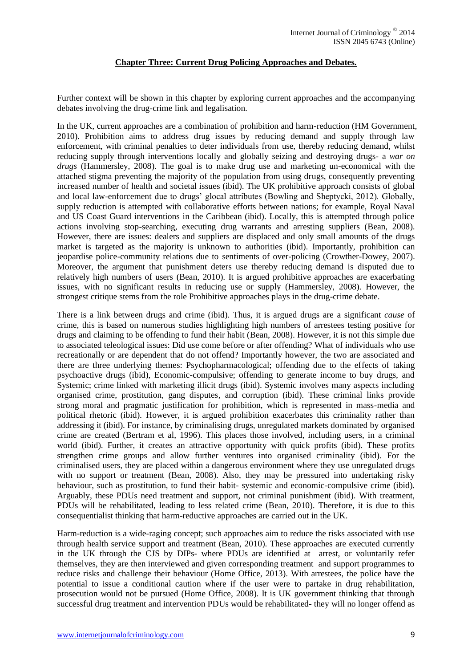#### **Chapter Three: Current Drug Policing Approaches and Debates.**

Further context will be shown in this chapter by exploring current approaches and the accompanying debates involving the drug-crime link and legalisation.

In the UK, current approaches are a combination of prohibition and harm-reduction (HM Government, 2010). Prohibition aims to address drug issues by reducing demand and supply through law enforcement, with criminal penalties to deter individuals from use, thereby reducing demand, whilst reducing supply through interventions locally and globally seizing and destroying drugs- a *war on drugs* (Hammersley, 2008). The goal is to make drug use and marketing un-economical with the attached stigma preventing the majority of the population from using drugs, consequently preventing increased number of health and societal issues (ibid). The UK prohibitive approach consists of global and local law-enforcement due to drugs' glocal attributes (Bowling and Sheptycki, 2012). Globally, supply reduction is attempted with collaborative efforts between nations; for example, Royal Naval and US Coast Guard interventions in the Caribbean (ibid). Locally, this is attempted through police actions involving stop-searching, executing drug warrants and arresting suppliers (Bean, 2008). However, there are issues: dealers and suppliers are displaced and only small amounts of the drugs market is targeted as the majority is unknown to authorities (ibid). Importantly, prohibition can jeopardise police-community relations due to sentiments of over-policing (Crowther-Dowey, 2007). Moreover, the argument that punishment deters use thereby reducing demand is disputed due to relatively high numbers of users (Bean, 2010). It is argued prohibitive approaches are exacerbating issues, with no significant results in reducing use or supply (Hammersley, 2008). However, the strongest critique stems from the role Prohibitive approaches plays in the drug-crime debate.

There is a link between drugs and crime (ibid). Thus, it is argued drugs are a significant *cause* of crime, this is based on numerous studies highlighting high numbers of arrestees testing positive for drugs and claiming to be offending to fund their habit (Bean, 2008). However, it is not this simple due to associated teleological issues: Did use come before or after offending? What of individuals who use recreationally or are dependent that do not offend? Importantly however, the two are associated and there are three underlying themes: Psychopharmacological; offending due to the effects of taking psychoactive drugs (ibid), Economic-compulsive; offending to generate income to buy drugs, and Systemic; crime linked with marketing illicit drugs (ibid). Systemic involves many aspects including organised crime, prostitution, gang disputes, and corruption (ibid). These criminal links provide strong moral and pragmatic justification for prohibition, which is represented in mass-media and political rhetoric (ibid). However, it is argued prohibition exacerbates this criminality rather than addressing it (ibid). For instance, by criminalising drugs, unregulated markets dominated by organised crime are created (Bertram et al, 1996). This places those involved, including users, in a criminal world (ibid). Further, it creates an attractive opportunity with quick profits (ibid). These profits strengthen crime groups and allow further ventures into organised criminality (ibid). For the criminalised users, they are placed within a dangerous environment where they use unregulated drugs with no support or treatment (Bean, 2008). Also, they may be pressured into undertaking risky behaviour, such as prostitution, to fund their habit- systemic and economic-compulsive crime (ibid). Arguably, these PDUs need treatment and support, not criminal punishment (ibid). With treatment, PDUs will be rehabilitated, leading to less related crime (Bean, 2010). Therefore, it is due to this consequentialist thinking that harm-reductive approaches are carried out in the UK.

Harm-reduction is a wide-raging concept; such approaches aim to reduce the risks associated with use through health service support and treatment (Bean, 2010). These approaches are executed currently in the UK through the CJS by DIPs- where PDUs are identified at arrest, or voluntarily refer themselves, they are then interviewed and given corresponding treatment and support programmes to reduce risks and challenge their behaviour (Home Office, 2013). With arrestees, the police have the potential to issue a conditional caution where if the user were to partake in drug rehabilitation, prosecution would not be pursued (Home Office, 2008). It is UK government thinking that through successful drug treatment and intervention PDUs would be rehabilitated- they will no longer offend as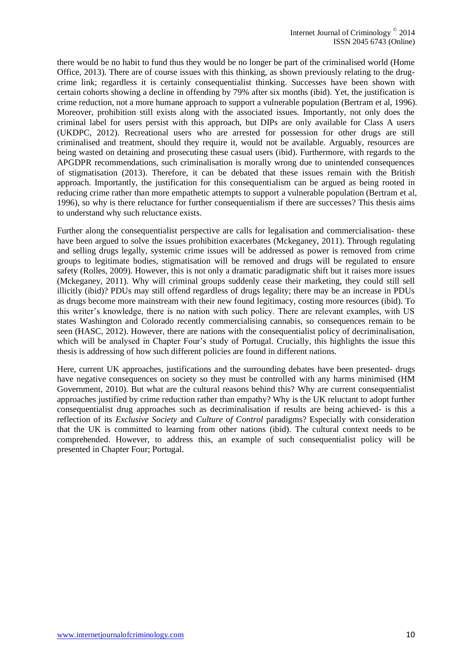there would be no habit to fund thus they would be no longer be part of the criminalised world (Home Office, 2013). There are of course issues with this thinking, as shown previously relating to the drugcrime link; regardless it is certainly consequentialist thinking. Successes have been shown with certain cohorts showing a decline in offending by 79% after six months (ibid). Yet, the justification is crime reduction, not a more humane approach to support a vulnerable population (Bertram et al, 1996). Moreover, prohibition still exists along with the associated issues. Importantly, not only does the criminal label for users persist with this approach, but DIPs are only available for Class A users (UKDPC, 2012). Recreational users who are arrested for possession for other drugs are still criminalised and treatment, should they require it, would not be available. Arguably, resources are being wasted on detaining and prosecuting these casual users (ibid). Furthermore, with regards to the APGDPR recommendations, such criminalisation is morally wrong due to unintended consequences of stigmatisation (2013). Therefore, it can be debated that these issues remain with the British approach. Importantly, the justification for this consequentialism can be argued as being rooted in reducing crime rather than more empathetic attempts to support a vulnerable population (Bertram et al, 1996), so why is there reluctance for further consequentialism if there are successes? This thesis aims to understand why such reluctance exists.

Further along the consequentialist perspective are calls for legalisation and commercialisation- these have been argued to solve the issues prohibition exacerbates (Mckeganey, 2011). Through regulating and selling drugs legally, systemic crime issues will be addressed as power is removed from crime groups to legitimate bodies, stigmatisation will be removed and drugs will be regulated to ensure safety (Rolles, 2009). However, this is not only a dramatic paradigmatic shift but it raises more issues (Mckeganey, 2011). Why will criminal groups suddenly cease their marketing, they could still sell illicitly (ibid)? PDUs may still offend regardless of drugs legality; there may be an increase in PDUs as drugs become more mainstream with their new found legitimacy, costing more resources (ibid). To this writer's knowledge, there is no nation with such policy. There are relevant examples, with US states Washington and Colorado recently commercialising cannabis, so consequences remain to be seen (HASC, 2012). However, there are nations with the consequentialist policy of decriminalisation, which will be analysed in Chapter Four's study of Portugal. Crucially, this highlights the issue this thesis is addressing of how such different policies are found in different nations.

Here, current UK approaches, justifications and the surrounding debates have been presented- drugs have negative consequences on society so they must be controlled with any harms minimised (HM Government, 2010). But what are the cultural reasons behind this? Why are current consequentialist approaches justified by crime reduction rather than empathy? Why is the UK reluctant to adopt further consequentialist drug approaches such as decriminalisation if results are being achieved- is this a reflection of its *Exclusive Society* and *Culture of Control* paradigms? Especially with consideration that the UK is committed to learning from other nations (ibid). The cultural context needs to be comprehended. However, to address this, an example of such consequentialist policy will be presented in Chapter Four; Portugal.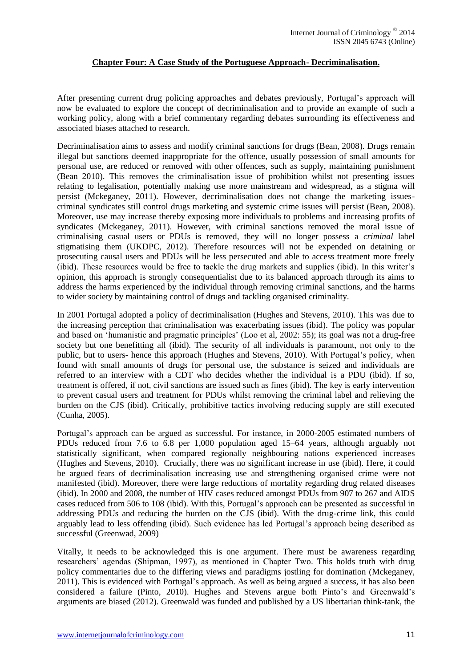#### **Chapter Four: A Case Study of the Portuguese Approach- Decriminalisation.**

After presenting current drug policing approaches and debates previously, Portugal's approach will now be evaluated to explore the concept of decriminalisation and to provide an example of such a working policy, along with a brief commentary regarding debates surrounding its effectiveness and associated biases attached to research.

Decriminalisation aims to assess and modify criminal sanctions for drugs (Bean, 2008). Drugs remain illegal but sanctions deemed inappropriate for the offence, usually possession of small amounts for personal use, are reduced or removed with other offences, such as supply, maintaining punishment (Bean 2010). This removes the criminalisation issue of prohibition whilst not presenting issues relating to legalisation, potentially making use more mainstream and widespread, as a stigma will persist (Mckeganey, 2011). However, decriminalisation does not change the marketing issuescriminal syndicates still control drugs marketing and systemic crime issues will persist (Bean, 2008). Moreover, use may increase thereby exposing more individuals to problems and increasing profits of syndicates (Mckeganey, 2011). However, with criminal sanctions removed the moral issue of criminalising casual users or PDUs is removed, they will no longer possess a *criminal* label stigmatising them (UKDPC, 2012). Therefore resources will not be expended on detaining or prosecuting causal users and PDUs will be less persecuted and able to access treatment more freely (ibid). These resources would be free to tackle the drug markets and supplies (ibid). In this writer's opinion, this approach is strongly consequentialist due to its balanced approach through its aims to address the harms experienced by the individual through removing criminal sanctions, and the harms to wider society by maintaining control of drugs and tackling organised criminality.

In 2001 Portugal adopted a policy of decriminalisation (Hughes and Stevens, 2010). This was due to the increasing perception that criminalisation was exacerbating issues (ibid). The policy was popular and based on 'humanistic and pragmatic principles' (Loo et al, 2002: 55); its goal was not a drug-free society but one benefitting all (ibid). The security of all individuals is paramount, not only to the public, but to users- hence this approach (Hughes and Stevens, 2010). With Portugal's policy, when found with small amounts of drugs for personal use, the substance is seized and individuals are referred to an interview with a CDT who decides whether the individual is a PDU (ibid). If so, treatment is offered, if not, civil sanctions are issued such as fines (ibid). The key is early intervention to prevent casual users and treatment for PDUs whilst removing the criminal label and relieving the burden on the CJS (ibid). Critically, prohibitive tactics involving reducing supply are still executed (Cunha, 2005).

Portugal's approach can be argued as successful. For instance, in 2000-2005 estimated numbers of PDUs reduced from 7.6 to 6.8 per 1,000 population aged 15–64 years, although arguably not statistically significant, when compared regionally neighbouring nations experienced increases (Hughes and Stevens, 2010). Crucially, there was no significant increase in use (ibid). Here, it could be argued fears of decriminalisation increasing use and strengthening organised crime were not manifested (ibid). Moreover, there were large reductions of mortality regarding drug related diseases (ibid). In 2000 and 2008, the number of HIV cases reduced amongst PDUs from 907 to 267 and AIDS cases reduced from 506 to 108 (ibid). With this, Portugal's approach can be presented as successful in addressing PDUs and reducing the burden on the CJS (ibid). With the drug-crime link, this could arguably lead to less offending (ibid). Such evidence has led Portugal's approach being described as successful (Greenwad, 2009)

Vitally, it needs to be acknowledged this is one argument. There must be awareness regarding researchers' agendas (Shipman, 1997), as mentioned in Chapter Two. This holds truth with drug policy commentaries due to the differing views and paradigms jostling for domination (Mckeganey, 2011). This is evidenced with Portugal's approach. As well as being argued a success, it has also been considered a failure (Pinto, 2010). Hughes and Stevens argue both Pinto's and Greenwald's arguments are biased (2012). Greenwald was funded and published by a US libertarian think-tank, the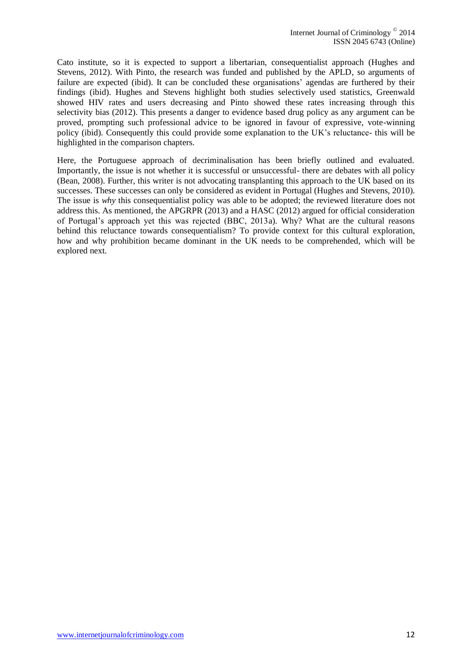Cato institute, so it is expected to support a libertarian, consequentialist approach (Hughes and Stevens, 2012). With Pinto, the research was funded and published by the APLD, so arguments of failure are expected (ibid). It can be concluded these organisations' agendas are furthered by their findings (ibid). Hughes and Stevens highlight both studies selectively used statistics, Greenwald showed HIV rates and users decreasing and Pinto showed these rates increasing through this selectivity bias (2012). This presents a danger to evidence based drug policy as any argument can be proved, prompting such professional advice to be ignored in favour of expressive, vote-winning policy (ibid). Consequently this could provide some explanation to the UK's reluctance- this will be highlighted in the comparison chapters.

Here, the Portuguese approach of decriminalisation has been briefly outlined and evaluated. Importantly, the issue is not whether it is successful or unsuccessful- there are debates with all policy (Bean, 2008). Further, this writer is not advocating transplanting this approach to the UK based on its successes. These successes can only be considered as evident in Portugal (Hughes and Stevens, 2010). The issue is *why* this consequentialist policy was able to be adopted; the reviewed literature does not address this. As mentioned, the APGRPR (2013) and a HASC (2012) argued for official consideration of Portugal's approach yet this was rejected (BBC, 2013a). Why? What are the cultural reasons behind this reluctance towards consequentialism? To provide context for this cultural exploration, how and why prohibition became dominant in the UK needs to be comprehended, which will be explored next.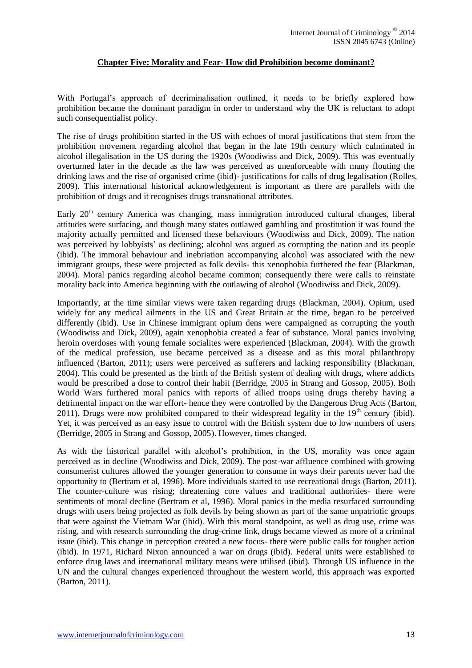#### **Chapter Five: Morality and Fear- How did Prohibition become dominant?**

With Portugal's approach of decriminalisation outlined, it needs to be briefly explored how prohibition became the dominant paradigm in order to understand why the UK is reluctant to adopt such consequentialist policy.

The rise of drugs prohibition started in the US with echoes of moral justifications that stem from the prohibition movement regarding alcohol that began in the late 19th century which culminated in alcohol illegalisation in the US during the 1920s (Woodiwiss and Dick, 2009). This was eventually overturned later in the decade as the law was perceived as unenforceable with many flouting the drinking laws and the rise of organised crime (ibid)- justifications for calls of drug legalisation (Rolles, 2009). This international historical acknowledgement is important as there are parallels with the prohibition of drugs and it recognises drugs transnational attributes.

Early 20<sup>th</sup> century America was changing, mass immigration introduced cultural changes, liberal attitudes were surfacing, and though many states outlawed gambling and prostitution it was found the majority actually permitted and licensed these behaviours (Woodiwiss and Dick, 2009). The nation was perceived by lobbyists' as declining; alcohol was argued as corrupting the nation and its people (ibid). The immoral behaviour and inebriation accompanying alcohol was associated with the new immigrant groups, these were projected as folk devils- this xenophobia furthered the fear (Blackman, 2004). Moral panics regarding alcohol became common; consequently there were calls to reinstate morality back into America beginning with the outlawing of alcohol (Woodiwiss and Dick, 2009).

Importantly, at the time similar views were taken regarding drugs (Blackman, 2004). Opium, used widely for any medical ailments in the US and Great Britain at the time, began to be perceived differently (ibid). Use in Chinese immigrant opium dens were campaigned as corrupting the youth (Woodiwiss and Dick, 2009), again xenophobia created a fear of substance. Moral panics involving heroin overdoses with young female socialites were experienced (Blackman, 2004). With the growth of the medical profession, use became perceived as a disease and as this moral philanthropy influenced (Barton, 2011); users were perceived as sufferers and lacking responsibility (Blackman, 2004). This could be presented as the birth of the British system of dealing with drugs, where addicts would be prescribed a dose to control their habit (Berridge, 2005 in Strang and Gossop, 2005). Both World Wars furthered moral panics with reports of allied troops using drugs thereby having a detrimental impact on the war effort- hence they were controlled by the Dangerous Drug Acts (Barton, 2011). Drugs were now prohibited compared to their widespread legality in the  $19<sup>th</sup>$  century (ibid). Yet, it was perceived as an easy issue to control with the British system due to low numbers of users (Berridge, 2005 in Strang and Gossop, 2005). However, times changed.

As with the historical parallel with alcohol's prohibition, in the US, morality was once again perceived as in decline (Woodiwiss and Dick, 2009). The post-war affluence combined with growing consumerist cultures allowed the younger generation to consume in ways their parents never had the opportunity to (Bertram et al, 1996). More individuals started to use recreational drugs (Barton, 2011). The counter-culture was rising; threatening core values and traditional authorities- there were sentiments of moral decline (Bertram et al, 1996). Moral panics in the media resurfaced surrounding drugs with users being projected as folk devils by being shown as part of the same unpatriotic groups that were against the Vietnam War (ibid). With this moral standpoint, as well as drug use, crime was rising, and with research surrounding the drug-crime link, drugs became viewed as more of a criminal issue (ibid). This change in perception created a new focus- there were public calls for tougher action (ibid). In 1971, Richard Nixon announced a war on drugs (ibid). Federal units were established to enforce drug laws and international military means were utilised (ibid). Through US influence in the UN and the cultural changes experienced throughout the western world, this approach was exported (Barton, 2011).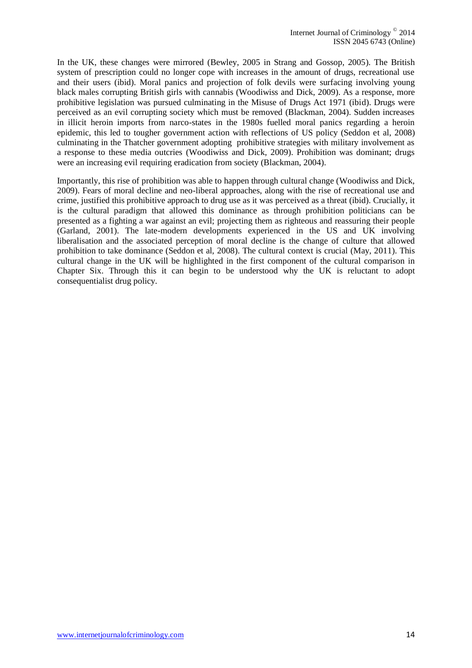In the UK, these changes were mirrored (Bewley, 2005 in Strang and Gossop, 2005). The British system of prescription could no longer cope with increases in the amount of drugs, recreational use and their users (ibid). Moral panics and projection of folk devils were surfacing involving young black males corrupting British girls with cannabis (Woodiwiss and Dick, 2009). As a response, more prohibitive legislation was pursued culminating in the Misuse of Drugs Act 1971 (ibid). Drugs were perceived as an evil corrupting society which must be removed (Blackman, 2004). Sudden increases in illicit heroin imports from narco-states in the 1980s fuelled moral panics regarding a heroin epidemic, this led to tougher government action with reflections of US policy (Seddon et al, 2008) culminating in the Thatcher government adopting prohibitive strategies with military involvement as a response to these media outcries (Woodiwiss and Dick, 2009). Prohibition was dominant; drugs were an increasing evil requiring eradication from society (Blackman, 2004).

Importantly, this rise of prohibition was able to happen through cultural change (Woodiwiss and Dick, 2009). Fears of moral decline and neo-liberal approaches, along with the rise of recreational use and crime, justified this prohibitive approach to drug use as it was perceived as a threat (ibid). Crucially, it is the cultural paradigm that allowed this dominance as through prohibition politicians can be presented as a fighting a war against an evil; projecting them as righteous and reassuring their people (Garland, 2001). The late-modern developments experienced in the US and UK involving liberalisation and the associated perception of moral decline is the change of culture that allowed prohibition to take dominance (Seddon et al, 2008). The cultural context is crucial (May, 2011). This cultural change in the UK will be highlighted in the first component of the cultural comparison in Chapter Six. Through this it can begin to be understood why the UK is reluctant to adopt consequentialist drug policy.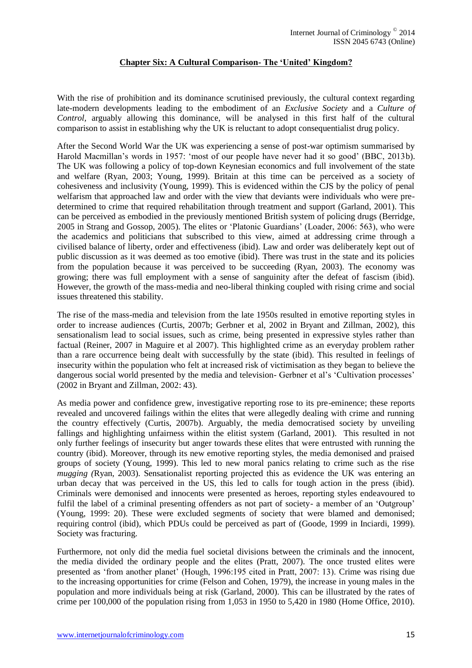### **Chapter Six: A Cultural Comparison- The 'United' Kingdom?**

With the rise of prohibition and its dominance scrutinised previously, the cultural context regarding late-modern developments leading to the embodiment of an *Exclusive Society* and a *Culture of Control,* arguably allowing this dominance, will be analysed in this first half of the cultural comparison to assist in establishing why the UK is reluctant to adopt consequentialist drug policy.

After the Second World War the UK was experiencing a sense of post-war optimism summarised by Harold Macmillan's words in 1957: 'most of our people have never had it so good' (BBC, 2013b). The UK was following a policy of top-down Keynesian economics and full involvement of the state and welfare (Ryan, 2003; Young, 1999). Britain at this time can be perceived as a society of cohesiveness and inclusivity (Young, 1999). This is evidenced within the CJS by the policy of penal welfarism that approached law and order with the view that deviants were individuals who were predetermined to crime that required rehabilitation through treatment and support (Garland, 2001). This can be perceived as embodied in the previously mentioned British system of policing drugs (Berridge, 2005 in Strang and Gossop, 2005). The elites or 'Platonic Guardians' (Loader, 2006: 563), who were the academics and politicians that subscribed to this view, aimed at addressing crime through a civilised balance of liberty, order and effectiveness (ibid). Law and order was deliberately kept out of public discussion as it was deemed as too emotive (ibid). There was trust in the state and its policies from the population because it was perceived to be succeeding (Ryan, 2003). The economy was growing; there was full employment with a sense of sanguinity after the defeat of fascism (ibid). However, the growth of the mass-media and neo-liberal thinking coupled with rising crime and social issues threatened this stability.

The rise of the mass-media and television from the late 1950s resulted in emotive reporting styles in order to increase audiences (Curtis, 2007b; Gerbner et al, 2002 in Bryant and Zillman, 2002), this sensationalism lead to social issues, such as crime, being presented in expressive styles rather than factual (Reiner, 2007 in Maguire et al 2007). This highlighted crime as an everyday problem rather than a rare occurrence being dealt with successfully by the state (ibid). This resulted in feelings of insecurity within the population who felt at increased risk of victimisation as they began to believe the dangerous social world presented by the media and television- Gerbner et al's 'Cultivation processes' (2002 in Bryant and Zillman, 2002: 43).

As media power and confidence grew, investigative reporting rose to its pre-eminence; these reports revealed and uncovered failings within the elites that were allegedly dealing with crime and running the country effectively (Curtis, 2007b). Arguably, the media democratised society by unveiling fallings and highlighting unfairness within the elitist system (Garland, 2001). This resulted in not only further feelings of insecurity but anger towards these elites that were entrusted with running the country (ibid). Moreover, through its new emotive reporting styles, the media demonised and praised groups of society (Young, 1999). This led to new moral panics relating to crime such as the rise *mugging (*Ryan, 2003). Sensationalist reporting projected this as evidence the UK was entering an urban decay that was perceived in the US, this led to calls for tough action in the press (ibid). Criminals were demonised and innocents were presented as heroes, reporting styles endeavoured to fulfil the label of a criminal presenting offenders as not part of society- a member of an 'Outgroup' (Young, 1999: 20). These were excluded segments of society that were blamed and demonised; requiring control (ibid), which PDUs could be perceived as part of (Goode, 1999 in Inciardi, 1999). Society was fracturing.

Furthermore, not only did the media fuel societal divisions between the criminals and the innocent, the media divided the ordinary people and the elites (Pratt, 2007). The once trusted elites were presented as 'from another planet' (Hough, 1996:195 cited in Pratt, 2007: 13). Crime was rising due to the increasing opportunities for crime (Felson and Cohen, 1979), the increase in young males in the population and more individuals being at risk (Garland, 2000). This can be illustrated by the rates of crime per 100,000 of the population rising from 1,053 in 1950 to 5,420 in 1980 (Home Office, 2010).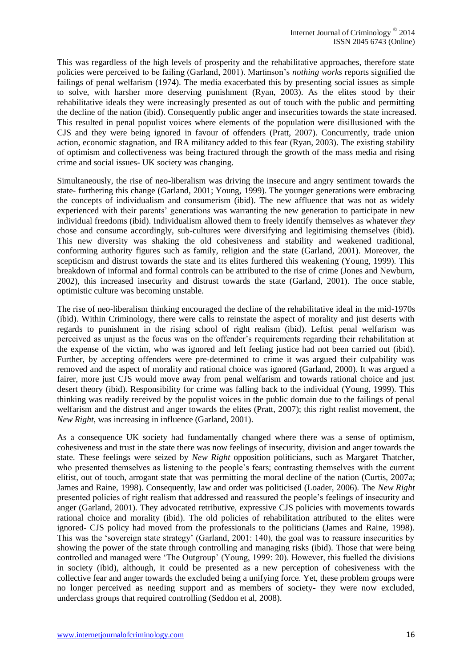This was regardless of the high levels of prosperity and the rehabilitative approaches, therefore state policies were perceived to be failing (Garland, 2001). Martinson's *nothing works* reports signified the failings of penal welfarism (1974). The media exacerbated this by presenting social issues as simple to solve, with harsher more deserving punishment (Ryan, 2003). As the elites stood by their rehabilitative ideals they were increasingly presented as out of touch with the public and permitting the decline of the nation (ibid). Consequently public anger and insecurities towards the state increased. This resulted in penal populist voices where elements of the population were disillusioned with the CJS and they were being ignored in favour of offenders (Pratt, 2007). Concurrently, trade union action, economic stagnation, and IRA militancy added to this fear (Ryan, 2003). The existing stability of optimism and collectiveness was being fractured through the growth of the mass media and rising crime and social issues- UK society was changing.

Simultaneously, the rise of neo-liberalism was driving the insecure and angry sentiment towards the state- furthering this change (Garland, 2001; Young, 1999). The younger generations were embracing the concepts of individualism and consumerism (ibid). The new affluence that was not as widely experienced with their parents' generations was warranting the new generation to participate in new individual freedoms (ibid). Individualism allowed them to freely identify themselves as whatever *they*  chose and consume accordingly, sub-cultures were diversifying and legitimising themselves (ibid). This new diversity was shaking the old cohesiveness and stability and weakened traditional, conforming authority figures such as family, religion and the state (Garland, 2001). Moreover, the scepticism and distrust towards the state and its elites furthered this weakening (Young, 1999). This breakdown of informal and formal controls can be attributed to the rise of crime (Jones and Newburn, 2002), this increased insecurity and distrust towards the state (Garland, 2001). The once stable, optimistic culture was becoming unstable.

The rise of neo-liberalism thinking encouraged the decline of the rehabilitative ideal in the mid-1970s (ibid). Within Criminology, there were calls to reinstate the aspect of morality and just deserts with regards to punishment in the rising school of right realism (ibid). Leftist penal welfarism was perceived as unjust as the focus was on the offender's requirements regarding their rehabilitation at the expense of the victim, who was ignored and left feeling justice had not been carried out (ibid). Further, by accepting offenders were pre-determined to crime it was argued their culpability was removed and the aspect of morality and rational choice was ignored (Garland, 2000). It was argued a fairer, more just CJS would move away from penal welfarism and towards rational choice and just desert theory (ibid). Responsibility for crime was falling back to the individual (Young, 1999). This thinking was readily received by the populist voices in the public domain due to the failings of penal welfarism and the distrust and anger towards the elites (Pratt, 2007); this right realist movement, the *New Right*, was increasing in influence (Garland, 2001).

As a consequence UK society had fundamentally changed where there was a sense of optimism, cohesiveness and trust in the state there was now feelings of insecurity, division and anger towards the state. These feelings were seized by *New Right* opposition politicians, such as Margaret Thatcher, who presented themselves as listening to the people's fears; contrasting themselves with the current elitist, out of touch, arrogant state that was permitting the moral decline of the nation (Curtis, 2007a; James and Raine, 1998). Consequently, law and order was politicised (Loader, 2006). The *New Right* presented policies of right realism that addressed and reassured the people's feelings of insecurity and anger (Garland, 2001). They advocated retributive, expressive CJS policies with movements towards rational choice and morality (ibid). The old policies of rehabilitation attributed to the elites were ignored- CJS policy had moved from the professionals to the politicians (James and Raine, 1998). This was the 'sovereign state strategy' (Garland, 2001: 140), the goal was to reassure insecurities by showing the power of the state through controlling and managing risks (ibid). Those that were being controlled and managed were 'The Outgroup' (Young, 1999: 20). However, this fuelled the divisions in society (ibid), although, it could be presented as a new perception of cohesiveness with the collective fear and anger towards the excluded being a unifying force. Yet, these problem groups were no longer perceived as needing support and as members of society- they were now excluded, underclass groups that required controlling (Seddon et al, 2008).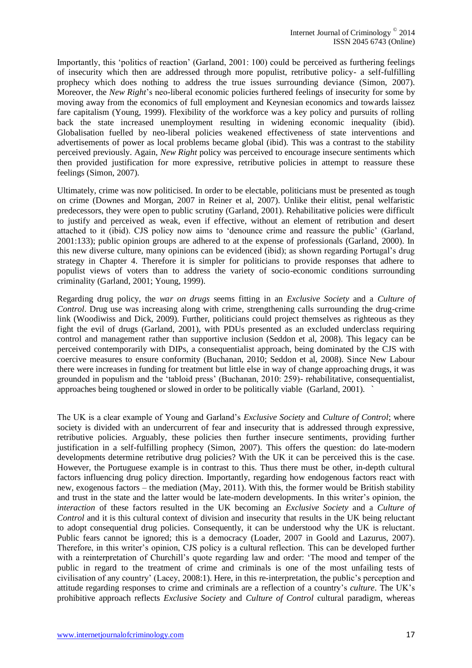Importantly, this 'politics of reaction' (Garland, 2001: 100) could be perceived as furthering feelings of insecurity which then are addressed through more populist, retributive policy- a self-fulfilling prophecy which does nothing to address the true issues surrounding deviance (Simon, 2007). Moreover, the *New Right*'s neo-liberal economic policies furthered feelings of insecurity for some by moving away from the economics of full employment and Keynesian economics and towards laissez fare capitalism (Young, 1999). Flexibility of the workforce was a key policy and pursuits of rolling back the state increased unemployment resulting in widening economic inequality (ibid). Globalisation fuelled by neo-liberal policies weakened effectiveness of state interventions and advertisements of power as local problems became global (ibid). This was a contrast to the stability perceived previously. Again, *New Right* policy was perceived to encourage insecure sentiments which then provided justification for more expressive, retributive policies in attempt to reassure these feelings (Simon, 2007).

Ultimately, crime was now politicised. In order to be electable, politicians must be presented as tough on crime (Downes and Morgan, 2007 in Reiner et al, 2007). Unlike their elitist, penal welfaristic predecessors, they were open to public scrutiny (Garland, 2001). Rehabilitative policies were difficult to justify and perceived as weak, even if effective, without an element of retribution and desert attached to it (ibid). CJS policy now aims to 'denounce crime and reassure the public' (Garland, 2001:133); public opinion groups are adhered to at the expense of professionals (Garland, 2000). In this new diverse culture, many opinions can be evidenced (ibid); as shown regarding Portugal's drug strategy in Chapter 4. Therefore it is simpler for politicians to provide responses that adhere to populist views of voters than to address the variety of socio-economic conditions surrounding criminality (Garland, 2001; Young, 1999).

Regarding drug policy, the *war on drugs* seems fitting in an *Exclusive Society* and a *Culture of Control*. Drug use was increasing along with crime, strengthening calls surrounding the drug-crime link (Woodiwiss and Dick, 2009). Further, politicians could project themselves as righteous as they fight the evil of drugs (Garland, 2001), with PDUs presented as an excluded underclass requiring control and management rather than supportive inclusion (Seddon et al, 2008). This legacy can be perceived contemporarily with DIPs, a consequentialist approach, being dominated by the CJS with coercive measures to ensure conformity (Buchanan, 2010; Seddon et al, 2008). Since New Labour there were increases in funding for treatment but little else in way of change approaching drugs, it was grounded in populism and the 'tabloid press' (Buchanan, 2010: 259)- rehabilitative, consequentialist, approaches being toughened or slowed in order to be politically viable (Garland, 2001). `

The UK is a clear example of Young and Garland's *Exclusive Society* and *Culture of Control*; where society is divided with an undercurrent of fear and insecurity that is addressed through expressive, retributive policies. Arguably, these policies then further insecure sentiments, providing further justification in a self-fulfilling prophecy (Simon, 2007). This offers the question: do late-modern developments determine retributive drug policies? With the UK it can be perceived this is the case. However, the Portuguese example is in contrast to this. Thus there must be other, in-depth cultural factors influencing drug policy direction. Importantly, regarding how endogenous factors react with new, exogenous factors – the mediation (May, 2011). With this, the former would be British stability and trust in the state and the latter would be late-modern developments. In this writer's opinion, the *interaction* of these factors resulted in the UK becoming an *Exclusive Society* and a *Culture of Control* and it is this cultural context of division and insecurity that results in the UK being reluctant to adopt consequential drug policies. Consequently, it can be understood why the UK is reluctant. Public fears cannot be ignored; this is a democracy (Loader, 2007 in Goold and Lazurus, 2007). Therefore, in this writer's opinion, CJS policy is a cultural reflection. This can be developed further with a reinterpretation of Churchill's quote regarding law and order: 'The mood and temper of the public in regard to the treatment of crime and criminals is one of the most unfailing tests of civilisation of any country' (Lacey, 2008:1). Here, in this re-interpretation, the public's perception and attitude regarding responses to crime and criminals are a reflection of a country's *culture*. The UK's prohibitive approach reflects *Exclusive Society* and *Culture of Control* cultural paradigm, whereas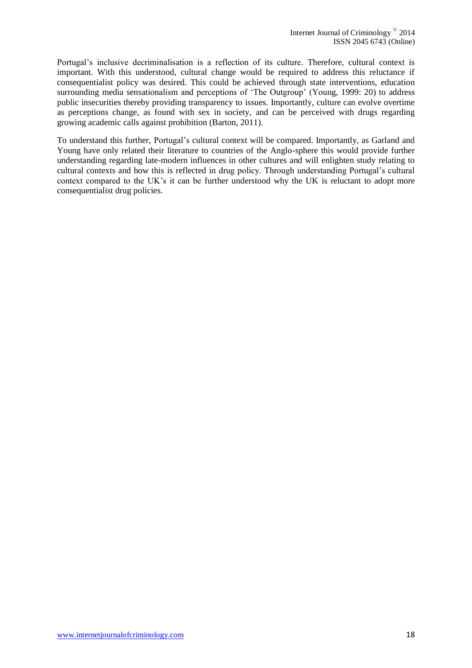Portugal's inclusive decriminalisation is a reflection of its culture. Therefore, cultural context is important. With this understood, cultural change would be required to address this reluctance if consequentialist policy was desired. This could be achieved through state interventions, education surrounding media sensationalism and perceptions of 'The Outgroup' (Young, 1999: 20) to address public insecurities thereby providing transparency to issues. Importantly, culture can evolve overtime as perceptions change, as found with sex in society, and can be perceived with drugs regarding growing academic calls against prohibition (Barton, 2011).

To understand this further, Portugal's cultural context will be compared. Importantly, as Garland and Young have only related their literature to countries of the Anglo-sphere this would provide further understanding regarding late-modern influences in other cultures and will enlighten study relating to cultural contexts and how this is reflected in drug policy. Through understanding Portugal's cultural context compared to the UK's it can be further understood why the UK is reluctant to adopt more consequentialist drug policies.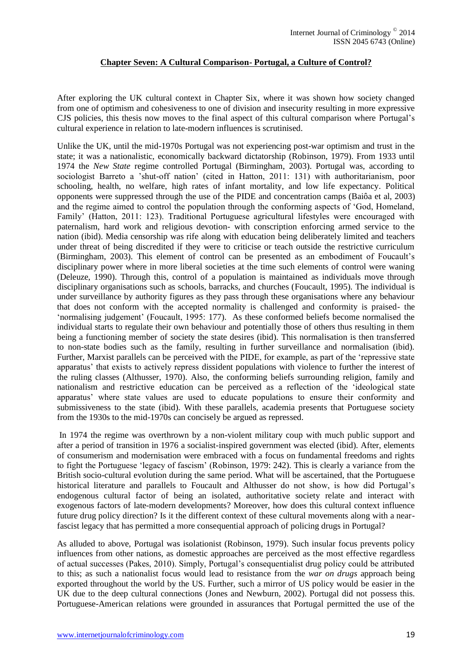### **Chapter Seven: A Cultural Comparison- Portugal, a Culture of Control?**

After exploring the UK cultural context in Chapter Six, where it was shown how society changed from one of optimism and cohesiveness to one of division and insecurity resulting in more expressive CJS policies, this thesis now moves to the final aspect of this cultural comparison where Portugal's cultural experience in relation to late-modern influences is scrutinised.

Unlike the UK, until the mid-1970s Portugal was not experiencing post-war optimism and trust in the state; it was a nationalistic, economically backward dictatorship (Robinson, 1979). From 1933 until 1974 the *New State* regime controlled Portugal (Birmingham, 2003). Portugal was, according to sociologist Barreto a 'shut-off nation' (cited in Hatton, 2011: 131) with authoritarianism, poor schooling, health, no welfare, high rates of infant mortality, and low life expectancy. Political opponents were suppressed through the use of the PIDE and concentration camps (Baiôa et al, 2003) and the regime aimed to control the population through the conforming aspects of 'God, Homeland, Family' (Hatton, 2011: 123). Traditional Portuguese agricultural lifestyles were encouraged with paternalism, hard work and religious devotion- with conscription enforcing armed service to the nation (ibid). Media censorship was rife along with education being deliberately limited and teachers under threat of being discredited if they were to criticise or teach outside the restrictive curriculum (Birmingham, 2003). This element of control can be presented as an embodiment of Foucault's disciplinary power where in more liberal societies at the time such elements of control were waning (Deleuze, 1990). Through this, control of a population is maintained as individuals move through disciplinary organisations such as schools, barracks, and churches (Foucault, 1995). The individual is under surveillance by authority figures as they pass through these organisations where any behaviour that does not conform with the accepted normality is challenged and conformity is praised- the 'normalising judgement' (Foucault, 1995: 177). As these conformed beliefs become normalised the individual starts to regulate their own behaviour and potentially those of others thus resulting in them being a functioning member of society the state desires (ibid). This normalisation is then transferred to non-state bodies such as the family, resulting in further surveillance and normalisation (ibid). Further, Marxist parallels can be perceived with the PIDE, for example, as part of the 'repressive state apparatus' that exists to actively repress dissident populations with violence to further the interest of the ruling classes (Althusser, 1970). Also, the conforming beliefs surrounding religion, family and nationalism and restrictive education can be perceived as a reflection of the 'ideological state apparatus' where state values are used to educate populations to ensure their conformity and submissiveness to the state (ibid). With these parallels, academia presents that Portuguese society from the 1930s to the mid-1970s can concisely be argued as repressed.

In 1974 the regime was overthrown by a non-violent military coup with much public support and after a period of transition in 1976 a socialist-inspired government was elected (ibid). After, elements of consumerism and modernisation were embraced with a focus on fundamental freedoms and rights to fight the Portuguese 'legacy of fascism' (Robinson, 1979: 242). This is clearly a variance from the British socio-cultural evolution during the same period. What will be ascertained, that the Portuguese historical literature and parallels to Foucault and Althusser do not show, is how did Portugal's endogenous cultural factor of being an isolated, authoritative society relate and interact with exogenous factors of late-modern developments? Moreover, how does this cultural context influence future drug policy direction? Is it the different context of these cultural movements along with a nearfascist legacy that has permitted a more consequential approach of policing drugs in Portugal?

As alluded to above, Portugal was isolationist (Robinson, 1979). Such insular focus prevents policy influences from other nations, as domestic approaches are perceived as the most effective regardless of actual successes (Pakes, 2010). Simply, Portugal's consequentialist drug policy could be attributed to this; as such a nationalist focus would lead to resistance from the *war on drugs* approach being exported throughout the world by the US. Further, such a mirror of US policy would be easier in the UK due to the deep cultural connections (Jones and Newburn, 2002). Portugal did not possess this. Portuguese-American relations were grounded in assurances that Portugal permitted the use of the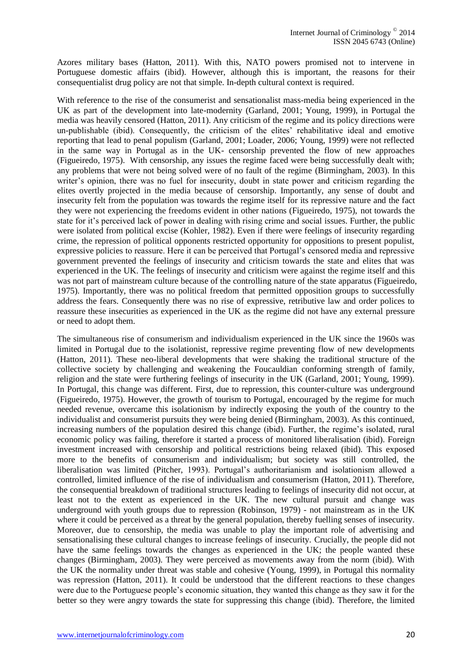Azores military bases (Hatton, 2011). With this, NATO powers promised not to intervene in Portuguese domestic affairs (ibid). However, although this is important, the reasons for their consequentialist drug policy are not that simple. In-depth cultural context is required.

With reference to the rise of the consumerist and sensationalist mass-media being experienced in the UK as part of the development into late-modernity (Garland, 2001; Young, 1999), in Portugal the media was heavily censored (Hatton, 2011). Any criticism of the regime and its policy directions were un-publishable (ibid). Consequently, the criticism of the elites' rehabilitative ideal and emotive reporting that lead to penal populism (Garland, 2001; Loader, 2006; Young, 1999) were not reflected in the same way in Portugal as in the UK- censorship prevented the flow of new approaches (Figueiredo, 1975). With censorship, any issues the regime faced were being successfully dealt with; any problems that were not being solved were of no fault of the regime (Birmingham, 2003). In this writer's opinion, there was no fuel for insecurity, doubt in state power and criticism regarding the elites overtly projected in the media because of censorship. Importantly, any sense of doubt and insecurity felt from the population was towards the regime itself for its repressive nature and the fact they were not experiencing the freedoms evident in other nations (Figueiredo, 1975), not towards the state for it's perceived lack of power in dealing with rising crime and social issues. Further, the public were isolated from political excise (Kohler, 1982). Even if there were feelings of insecurity regarding crime, the repression of political opponents restricted opportunity for oppositions to present populist, expressive policies to reassure. Here it can be perceived that Portugal's censored media and repressive government prevented the feelings of insecurity and criticism towards the state and elites that was experienced in the UK. The feelings of insecurity and criticism were against the regime itself and this was not part of mainstream culture because of the controlling nature of the state apparatus (Figueiredo, 1975). Importantly, there was no political freedom that permitted opposition groups to successfully address the fears. Consequently there was no rise of expressive, retributive law and order polices to reassure these insecurities as experienced in the UK as the regime did not have any external pressure or need to adopt them.

The simultaneous rise of consumerism and individualism experienced in the UK since the 1960s was limited in Portugal due to the isolationist, repressive regime preventing flow of new developments (Hatton, 2011). These neo-liberal developments that were shaking the traditional structure of the collective society by challenging and weakening the Foucauldian conforming strength of family, religion and the state were furthering feelings of insecurity in the UK (Garland, 2001; Young, 1999). In Portugal, this change was different. First, due to repression, this counter-culture was underground (Figueiredo, 1975). However, the growth of tourism to Portugal, encouraged by the regime for much needed revenue, overcame this isolationism by indirectly exposing the youth of the country to the individualist and consumerist pursuits they were being denied (Birmingham, 2003). As this continued, increasing numbers of the population desired this change (ibid). Further, the regime's isolated, rural economic policy was failing, therefore it started a process of monitored liberalisation (ibid). Foreign investment increased with censorship and political restrictions being relaxed (ibid). This exposed more to the benefits of consumerism and individualism; but society was still controlled, the liberalisation was limited (Pitcher, 1993). Portugal's authoritarianism and isolationism allowed a controlled, limited influence of the rise of individualism and consumerism (Hatton, 2011). Therefore, the consequential breakdown of traditional structures leading to feelings of insecurity did not occur, at least not to the extent as experienced in the UK. The new cultural pursuit and change was underground with youth groups due to repression (Robinson, 1979) - not mainstream as in the UK where it could be perceived as a threat by the general population, thereby fuelling senses of insecurity. Moreover, due to censorship, the media was unable to play the important role of advertising and sensationalising these cultural changes to increase feelings of insecurity. Crucially, the people did not have the same feelings towards the changes as experienced in the UK; the people wanted these changes (Birmingham, 2003). They were perceived as movements away from the norm (ibid). With the UK the normality under threat was stable and cohesive (Young, 1999), in Portugal this normality was repression (Hatton, 2011). It could be understood that the different reactions to these changes were due to the Portuguese people's economic situation, they wanted this change as they saw it for the better so they were angry towards the state for suppressing this change (ibid). Therefore, the limited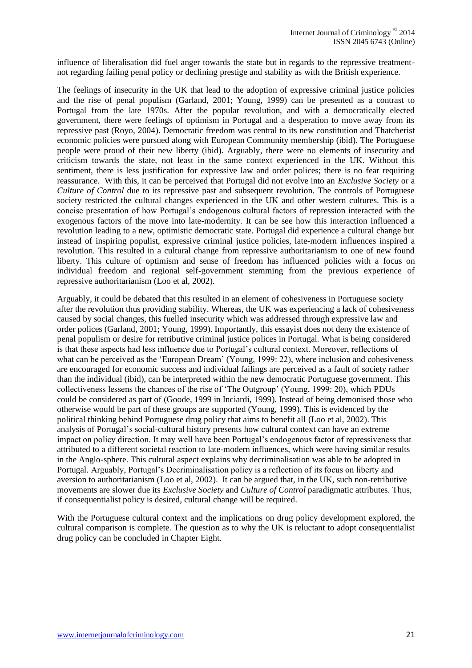influence of liberalisation did fuel anger towards the state but in regards to the repressive treatmentnot regarding failing penal policy or declining prestige and stability as with the British experience.

The feelings of insecurity in the UK that lead to the adoption of expressive criminal justice policies and the rise of penal populism (Garland, 2001; Young, 1999) can be presented as a contrast to Portugal from the late 1970s. After the popular revolution, and with a democratically elected government, there were feelings of optimism in Portugal and a desperation to move away from its repressive past (Royo, 2004). Democratic freedom was central to its new constitution and Thatcherist economic policies were pursued along with European Community membership (ibid). The Portuguese people were proud of their new liberty (ibid). Arguably, there were no elements of insecurity and criticism towards the state, not least in the same context experienced in the UK. Without this sentiment, there is less justification for expressive law and order polices; there is no fear requiring reassurance. With this, it can be perceived that Portugal did not evolve into an *Exclusive Society* or a *Culture of Control* due to its repressive past and subsequent revolution. The controls of Portuguese society restricted the cultural changes experienced in the UK and other western cultures. This is a concise presentation of how Portugal's endogenous cultural factors of repression interacted with the exogenous factors of the move into late-modernity. It can be see how this interaction influenced a revolution leading to a new, optimistic democratic state. Portugal did experience a cultural change but instead of inspiring populist, expressive criminal justice policies, late-modern influences inspired a revolution. This resulted in a cultural change from repressive authoritarianism to one of new found liberty. This culture of optimism and sense of freedom has influenced policies with a focus on individual freedom and regional self-government stemming from the previous experience of repressive authoritarianism (Loo et al, 2002).

Arguably, it could be debated that this resulted in an element of cohesiveness in Portuguese society after the revolution thus providing stability. Whereas, the UK was experiencing a lack of cohesiveness caused by social changes, this fuelled insecurity which was addressed through expressive law and order polices (Garland, 2001; Young, 1999). Importantly, this essayist does not deny the existence of penal populism or desire for retributive criminal justice polices in Portugal. What is being considered is that these aspects had less influence due to Portugal's cultural context. Moreover, reflections of what can be perceived as the 'European Dream' (Young, 1999: 22), where inclusion and cohesiveness are encouraged for economic success and individual failings are perceived as a fault of society rather than the individual (ibid), can be interpreted within the new democratic Portuguese government. This collectiveness lessens the chances of the rise of 'The Outgroup' (Young, 1999: 20), which PDUs could be considered as part of (Goode, 1999 in Inciardi, 1999). Instead of being demonised those who otherwise would be part of these groups are supported (Young, 1999). This is evidenced by the political thinking behind Portuguese drug policy that aims to benefit all (Loo et al, 2002). This analysis of Portugal's social-cultural history presents how cultural context can have an extreme impact on policy direction. It may well have been Portugal's endogenous factor of repressiveness that attributed to a different societal reaction to late-modern influences, which were having similar results in the Anglo-sphere. This cultural aspect explains why decriminalisation was able to be adopted in Portugal. Arguably, Portugal's Decriminalisation policy is a reflection of its focus on liberty and aversion to authoritarianism (Loo et al, 2002). It can be argued that, in the UK, such non-retributive movements are slower due its *Exclusive Society* and *Culture of Control* paradigmatic attributes. Thus, if consequentialist policy is desired, cultural change will be required.

With the Portuguese cultural context and the implications on drug policy development explored, the cultural comparison is complete. The question as to why the UK is reluctant to adopt consequentialist drug policy can be concluded in Chapter Eight.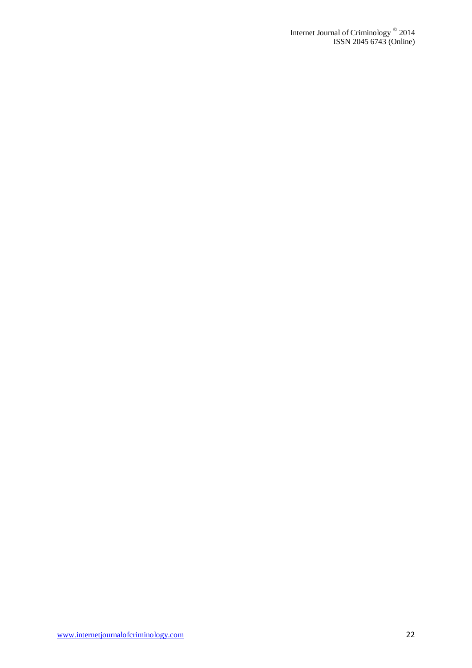Internet Journal of Criminology © 2014 ISSN 2045 6743 (Online)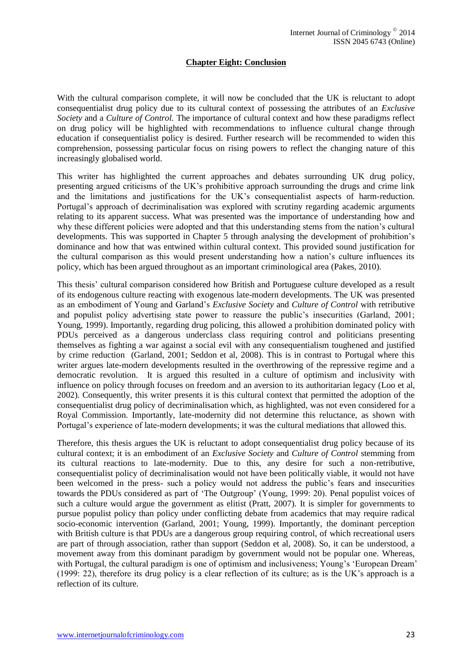## **Chapter Eight: Conclusion**

With the cultural comparison complete, it will now be concluded that the UK is reluctant to adopt consequentialist drug policy due to its cultural context of possessing the attributes of an *Exclusive Society* and a *Culture of Control.* The importance of cultural context and how these paradigms reflect on drug policy will be highlighted with recommendations to influence cultural change through education if consequentialist policy is desired. Further research will be recommended to widen this comprehension, possessing particular focus on rising powers to reflect the changing nature of this increasingly globalised world.

This writer has highlighted the current approaches and debates surrounding UK drug policy, presenting argued criticisms of the UK's prohibitive approach surrounding the drugs and crime link and the limitations and justifications for the UK's consequentialist aspects of harm-reduction. Portugal's approach of decriminalisation was explored with scrutiny regarding academic arguments relating to its apparent success. What was presented was the importance of understanding how and why these different policies were adopted and that this understanding stems from the nation's cultural developments. This was supported in Chapter 5 through analysing the development of prohibition's dominance and how that was entwined within cultural context. This provided sound justification for the cultural comparison as this would present understanding how a nation's culture influences its policy, which has been argued throughout as an important criminological area (Pakes, 2010).

This thesis' cultural comparison considered how British and Portuguese culture developed as a result of its endogenous culture reacting with exogenous late-modern developments. The UK was presented as an embodiment of Young and Garland's *Exclusive Society* and *Culture of Control* with retributive and populist policy advertising state power to reassure the public's insecurities (Garland, 2001; Young, 1999). Importantly, regarding drug policing, this allowed a prohibition dominated policy with PDUs perceived as a dangerous underclass class requiring control and politicians presenting themselves as fighting a war against a social evil with any consequentialism toughened and justified by crime reduction (Garland, 2001; Seddon et al, 2008). This is in contrast to Portugal where this writer argues late-modern developments resulted in the overthrowing of the repressive regime and a democratic revolution. It is argued this resulted in a culture of optimism and inclusivity with influence on policy through focuses on freedom and an aversion to its authoritarian legacy (Loo et al, 2002). Consequently, this writer presents it is this cultural context that permitted the adoption of the consequentialist drug policy of decriminalisation which, as highlighted, was not even considered for a Royal Commission. Importantly, late-modernity did not determine this reluctance, as shown with Portugal's experience of late-modern developments; it was the cultural mediations that allowed this.

Therefore, this thesis argues the UK is reluctant to adopt consequentialist drug policy because of its cultural context; it is an embodiment of an *Exclusive Society* and *Culture of Control* stemming from its cultural reactions to late-modernity. Due to this, any desire for such a non-retributive, consequentialist policy of decriminalisation would not have been politically viable, it would not have been welcomed in the press- such a policy would not address the public's fears and insecurities towards the PDUs considered as part of 'The Outgroup' (Young, 1999: 20). Penal populist voices of such a culture would argue the government as elitist (Pratt, 2007). It is simpler for governments to pursue populist policy than policy under conflicting debate from academics that may require radical socio-economic intervention (Garland, 2001; Young, 1999). Importantly, the dominant perception with British culture is that PDUs are a dangerous group requiring control, of which recreational users are part of through association, rather than support (Seddon et al, 2008). So, it can be understood, a movement away from this dominant paradigm by government would not be popular one. Whereas, with Portugal, the cultural paradigm is one of optimism and inclusiveness; Young's 'European Dream' (1999: 22), therefore its drug policy is a clear reflection of its culture; as is the UK's approach is a reflection of its culture.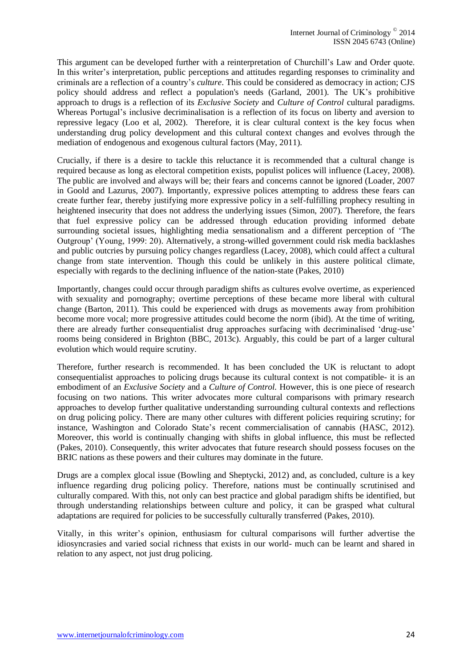This argument can be developed further with a reinterpretation of Churchill's Law and Order quote. In this writer's interpretation, public perceptions and attitudes regarding responses to criminality and criminals are a reflection of a country's *culture*. This could be considered as democracy in action; CJS policy should address and reflect a population's needs (Garland, 2001). The UK's prohibitive approach to drugs is a reflection of its *Exclusive Society* and *Culture of Control* cultural paradigms. Whereas Portugal's inclusive decriminalisation is a reflection of its focus on liberty and aversion to repressive legacy (Loo et al, 2002). Therefore, it is clear cultural context is the key focus when understanding drug policy development and this cultural context changes and evolves through the mediation of endogenous and exogenous cultural factors (May, 2011).

Crucially, if there is a desire to tackle this reluctance it is recommended that a cultural change is required because as long as electoral competition exists, populist polices will influence (Lacey, 2008). The public are involved and always will be; their fears and concerns cannot be ignored (Loader, 2007 in Goold and Lazurus, 2007). Importantly, expressive polices attempting to address these fears can create further fear, thereby justifying more expressive policy in a self-fulfilling prophecy resulting in heightened insecurity that does not address the underlying issues (Simon, 2007). Therefore, the fears that fuel expressive policy can be addressed through education providing informed debate surrounding societal issues, highlighting media sensationalism and a different perception of 'The Outgroup' (Young, 1999: 20). Alternatively, a strong-willed government could risk media backlashes and public outcries by pursuing policy changes regardless (Lacey, 2008), which could affect a cultural change from state intervention. Though this could be unlikely in this austere political climate, especially with regards to the declining influence of the nation-state (Pakes, 2010)

Importantly, changes could occur through paradigm shifts as cultures evolve overtime, as experienced with sexuality and pornography; overtime perceptions of these became more liberal with cultural change (Barton, 2011). This could be experienced with drugs as movements away from prohibition become more vocal; more progressive attitudes could become the norm (ibid). At the time of writing, there are already further consequentialist drug approaches surfacing with decriminalised 'drug-use' rooms being considered in Brighton (BBC, 2013c). Arguably, this could be part of a larger cultural evolution which would require scrutiny.

Therefore, further research is recommended. It has been concluded the UK is reluctant to adopt consequentialist approaches to policing drugs because its cultural context is not compatible- it is an embodiment of an *Exclusive Society* and a *Culture of Control.* However, this is one piece of research focusing on two nations. This writer advocates more cultural comparisons with primary research approaches to develop further qualitative understanding surrounding cultural contexts and reflections on drug policing policy. There are many other cultures with different policies requiring scrutiny; for instance, Washington and Colorado State's recent commercialisation of cannabis (HASC, 2012). Moreover, this world is continually changing with shifts in global influence, this must be reflected (Pakes, 2010). Consequently, this writer advocates that future research should possess focuses on the BRIC nations as these powers and their cultures may dominate in the future.

Drugs are a complex glocal issue (Bowling and Sheptycki, 2012) and, as concluded, culture is a key influence regarding drug policing policy. Therefore, nations must be continually scrutinised and culturally compared. With this, not only can best practice and global paradigm shifts be identified, but through understanding relationships between culture and policy, it can be grasped what cultural adaptations are required for policies to be successfully culturally transferred (Pakes, 2010).

Vitally, in this writer's opinion, enthusiasm for cultural comparisons will further advertise the idiosyncrasies and varied social richness that exists in our world- much can be learnt and shared in relation to any aspect, not just drug policing.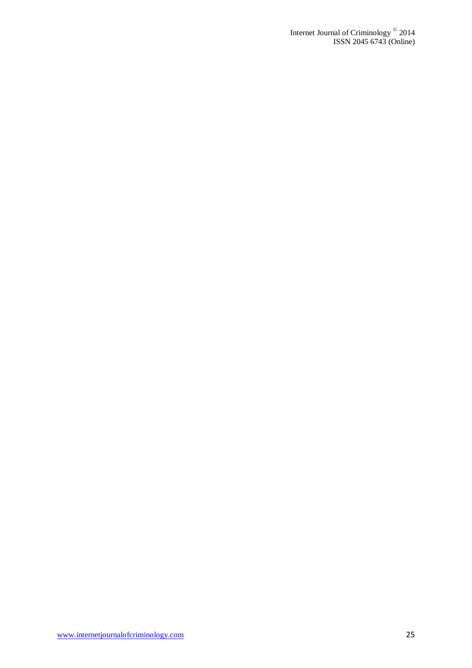Internet Journal of Criminology © 2014 ISSN 2045 6743 (Online)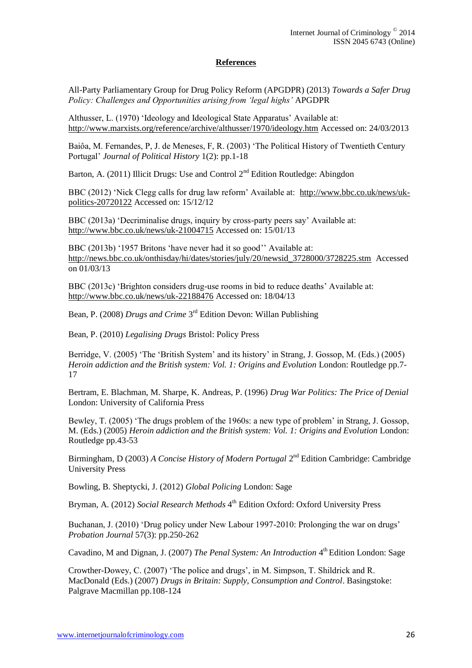## **References**

All-Party Parliamentary Group for Drug Policy Reform (APGDPR) (2013) *Towards a Safer Drug Policy: Challenges and Opportunities arising from 'legal highs'* APGDPR

Althusser, L. (1970) 'Ideology and Ideological State Apparatus' Available at: <http://www.marxists.org/reference/archive/althusser/1970/ideology.htm> Accessed on: 24/03/2013

Baiôa, M. Fernandes, P, J. de Meneses, F, R. (2003) 'The Political History of Twentieth Century Portugal' *Journal of Political History* 1(2): pp.1-18

Barton, A. (2011) Illicit Drugs: Use and Control  $2<sup>nd</sup>$  Edition Routledge: Abingdon

BBC (2012) 'Nick Clegg calls for drug law reform' Available at: [http://www.bbc.co.uk/news/uk](http://www.bbc.co.uk/news/uk-politics-20720122)[politics-20720122](http://www.bbc.co.uk/news/uk-politics-20720122) Accessed on: 15/12/12

BBC (2013a) 'Decriminalise drugs, inquiry by cross-party peers say' Available at: <http://www.bbc.co.uk/news/uk-21004715> Accessed on: 15/01/13

BBC (2013b) '1957 Britons 'have never had it so good'' Available at: http://news.bbc.co.uk/onthisday/hi/dates/stories/july/20/newsid\_3728000/3728225.stm Accessed on 01/03/13

BBC (2013c) 'Brighton considers drug-use rooms in bid to reduce deaths' Available at: <http://www.bbc.co.uk/news/uk-22188476> Accessed on: 18/04/13

Bean, P. (2008) *Drugs and Crime* 3<sup>rd</sup> Edition Devon: Willan Publishing

Bean, P. (2010) *Legalising Drugs* Bristol: Policy Press

Berridge, V. (2005) 'The 'British System' and its history' in Strang, J. Gossop, M. (Eds.) (2005) *Heroin addiction and the British system: Vol. 1: Origins and Evolution London: Routledge pp.7-*17

Bertram, E. Blachman, M. Sharpe, K. Andreas, P. (1996) *Drug War Politics: The Price of Denial*  London: University of California Press

Bewley, T. (2005) 'The drugs problem of the 1960s: a new type of problem' in Strang, J. Gossop, M. (Eds.) (2005) *Heroin addiction and the British system: Vol. 1: Origins and Evolution* London: Routledge pp.43-53

Birmingham, D (2003) *A Concise History of Modern Portugal* 2<sup>nd</sup> Edition Cambridge: Cambridge University Press

Bowling, B. Sheptycki, J. (2012) *Global Policing* London: Sage

Bryman, A. (2012) *Social Research Methods* 4<sup>th</sup> Edition Oxford: Oxford University Press

Buchanan, J. (2010) 'Drug policy under New Labour 1997-2010: Prolonging the war on drugs' *Probation Journal* 57(3): pp.250-262

Cavadino, M and Dignan, J. (2007) The Penal System: An Introduction 4<sup>th</sup> Edition London: Sage

Crowther-Dowey, C. (2007) 'The police and drugs', in M. Simpson, T. Shildrick and R. MacDonald (Eds.) (2007) *Drugs in Britain: Supply, Consumption and Control*. Basingstoke: Palgrave Macmillan pp.108-124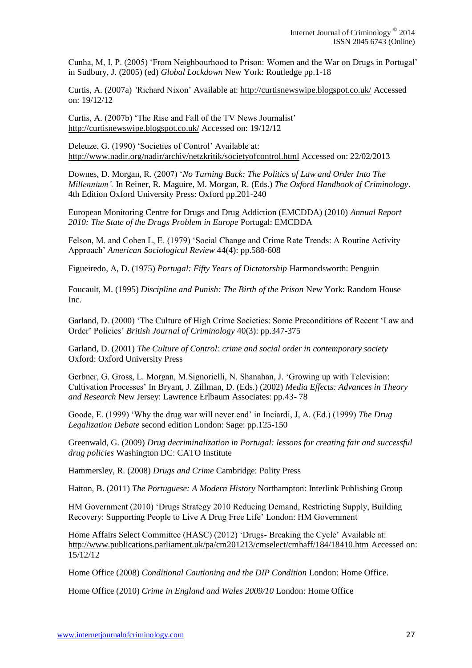Cunha, M, I, P. (2005) 'From Neighbourhood to Prison: Women and the War on Drugs in Portugal' in Sudbury, J. (2005) (ed) *Global Lockdown* New York: Routledge pp.1-18

Curtis, A. (2007a) *'*Richard Nixon' Available at:<http://curtisnewswipe.blogspot.co.uk/> Accessed on: 19/12/12

Curtis, A. (2007b) 'The Rise and Fall of the TV News Journalist' <http://curtisnewswipe.blogspot.co.uk/> Accessed on: 19/12/12

Deleuze, G. (1990) 'Societies of Control' Available at: <http://www.nadir.org/nadir/archiv/netzkritik/societyofcontrol.html> Accessed on: 22/02/2013

Downes, D. Morgan, R. (2007) '*No Turning Back: The Politics of Law and Order Into The Millennium'.* In Reiner, R. Maguire, M. Morgan, R. (Eds.) *The Oxford Handbook of Criminology*. 4th Edition Oxford University Press: Oxford pp.201-240

European Monitoring Centre for Drugs and Drug Addiction (EMCDDA) (2010) *Annual Report 2010: The State of the Drugs Problem in Europe* Portugal: EMCDDA

Felson, M. and Cohen L, E. (1979) 'Social Change and Crime Rate Trends: A Routine Activity Approach' *American Sociological Review* 44(4): pp.588-608

Figueiredo, A, D. (1975) *Portugal: Fifty Years of Dictatorship* Harmondsworth: Penguin

Foucault, M. (1995) *Discipline and Punish: The Birth of the Prison* New York: Random House Inc.

Garland, D. (2000) 'The Culture of High Crime Societies: Some Preconditions of Recent 'Law and Order' Policies' *British Journal of Criminology* 40(3): pp.347-375

Garland, D. (2001) *The Culture of Control: crime and social order in contemporary society*  Oxford: Oxford University Press

Gerbner, G. Gross, L. Morgan, M.Signorielli, N. Shanahan, J. 'Growing up with Television: Cultivation Processes' In Bryant, J. Zillman, D. (Eds.) (2002) *Media Effects: Advances in Theory and Research* New Jersey: Lawrence Erlbaum Associates: pp.43- 78

Goode, E. (1999) 'Why the drug war will never end' in Inciardi, J, A. (Ed.) (1999) *The Drug Legalization Debate* second edition London: Sage: pp.125-150

Greenwald, G. (2009) *Drug decriminalization in Portugal: lessons for creating fair and successful drug policies* Washington DC: CATO Institute

Hammersley, R. (2008) *Drugs and Crime* Cambridge: Polity Press

Hatton, B. (2011) *The Portuguese: A Modern History* Northampton: Interlink Publishing Group

HM Government (2010) 'Drugs Strategy 2010 Reducing Demand, Restricting Supply, Building Recovery: Supporting People to Live A Drug Free Life' London: HM Government

Home Affairs Select Committee (HASC) (2012) 'Drugs- Breaking the Cycle' Available at: <http://www.publications.parliament.uk/pa/cm201213/cmselect/cmhaff/184/18410.htm> Accessed on: 15/12/12

Home Office (2008) *Conditional Cautioning and the DIP Condition* London: Home Office.

Home Office (2010) *Crime in England and Wales 2009/10* London: Home Office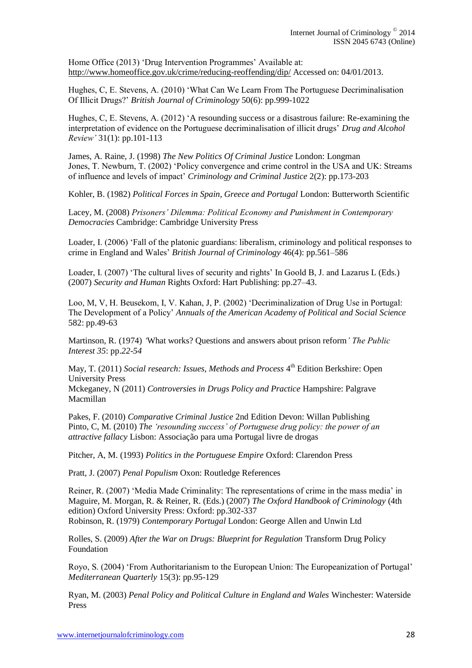Home Office (2013) 'Drug Intervention Programmes' Available at: <http://www.homeoffice.gov.uk/crime/reducing-reoffending/dip/> Accessed on: 04/01/2013.

Hughes, C, E. Stevens, A. (2010) 'What Can We Learn From The Portuguese Decriminalisation Of Illicit Drugs?' *British Journal of Criminology* 50(6): pp.999-1022

Hughes, C, E. Stevens, A. (2012) 'A resounding success or a disastrous failure: Re-examining the interpretation of evidence on the Portuguese decriminalisation of illicit drugs' *Drug and Alcohol Review'* 31(1): pp.101-113

James, A. Raine, J. (1998) *The New Politics Of Criminal Justice* London: Longman Jones, T. Newburn, T. (2002) 'Policy convergence and crime control in the USA and UK: Streams of influence and levels of impact' *Criminology and Criminal Justice* 2(2): pp.173-203

Kohler, B. (1982) *Political Forces in Spain, Greece and Portugal* London: Butterworth Scientific

Lacey, M. (2008) *Prisoners' Dilemma: Political Economy and Punishment in Contemporary Democracies* Cambridge: Cambridge University Press

Loader, I. (2006) 'Fall of the platonic guardians: liberalism, criminology and political responses to crime in England and Wales' *British Journal of Criminology* 46(4): pp.561–586

Loader, I. (2007) 'The cultural lives of security and rights' In Goold B, J. and Lazarus L (Eds.) (2007) *Security and Human* Rights Oxford: Hart Publishing: pp.27–43.

Loo, M, V, H. Beusekom, I, V. Kahan, J, P. (2002) 'Decriminalization of Drug Use in Portugal: The Development of a Policy' *Annuals of the American Academy of Political and Social Science*  582: pp.49-63

Martinson, R. (1974) *'*What works? Questions and answers about prison reform*' The Public Interest 35*: pp.*22*-*54*

May, T. (2011) *Social research: Issues, Methods and Process* 4<sup>th</sup> Edition Berkshire: Open University Press

Mckeganey, N (2011) *Controversies in Drugs Policy and Practice* Hampshire: Palgrave Macmillan

Pakes, F. (2010) *Comparative Criminal Justice* 2nd Edition Devon: Willan Publishing Pinto, C, M. (2010) *The 'resounding success' of Portuguese drug policy: the power of an attractive fallacy* Lisbon: Associação para uma Portugal livre de drogas

Pitcher, A, M. (1993) *Politics in the Portuguese Empire* Oxford: Clarendon Press

Pratt, J. (2007) *Penal Populism* Oxon: Routledge References

Reiner, R. (2007) 'Media Made Criminality: The representations of crime in the mass media' in Maguire, M. Morgan, R. & Reiner, R. (Eds.) (2007) *The Oxford Handbook of Criminology* (4th edition) Oxford University Press: Oxford: pp.302-337 Robinson, R. (1979) *Contemporary Portugal* London: George Allen and Unwin Ltd

Rolles, S. (2009) *After the War on Drugs: Blueprint for Regulation* Transform Drug Policy Foundation

Royo, S. (2004) 'From Authoritarianism to the European Union: The Europeanization of Portugal' *Mediterranean Quarterly* 15(3): pp.95-129

Ryan, M. (2003) *Penal Policy and Political Culture in England and Wales* Winchester: Waterside Press